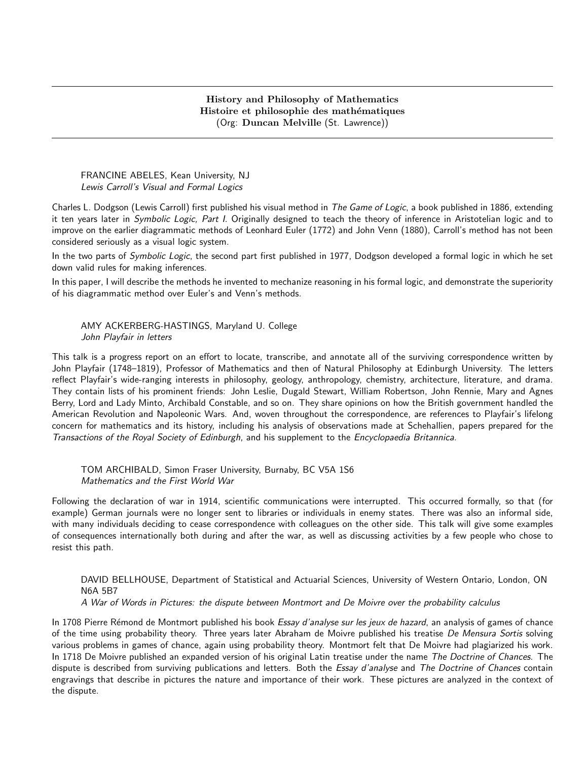FRANCINE ABELES, Kean University, NJ Lewis Carroll's Visual and Formal Logics

Charles L. Dodgson (Lewis Carroll) first published his visual method in The Game of Logic, a book published in 1886, extending it ten years later in Symbolic Logic, Part I. Originally designed to teach the theory of inference in Aristotelian logic and to improve on the earlier diagrammatic methods of Leonhard Euler (1772) and John Venn (1880), Carroll's method has not been considered seriously as a visual logic system.

In the two parts of Symbolic Logic, the second part first published in 1977, Dodgson developed a formal logic in which he set down valid rules for making inferences.

In this paper, I will describe the methods he invented to mechanize reasoning in his formal logic, and demonstrate the superiority of his diagrammatic method over Euler's and Venn's methods.

#### AMY ACKERBERG-HASTINGS, Maryland U. College John Playfair in letters

This talk is a progress report on an effort to locate, transcribe, and annotate all of the surviving correspondence written by John Playfair (1748–1819), Professor of Mathematics and then of Natural Philosophy at Edinburgh University. The letters reflect Playfair's wide-ranging interests in philosophy, geology, anthropology, chemistry, architecture, literature, and drama. They contain lists of his prominent friends: John Leslie, Dugald Stewart, William Robertson, John Rennie, Mary and Agnes Berry, Lord and Lady Minto, Archibald Constable, and so on. They share opinions on how the British government handled the American Revolution and Napoleonic Wars. And, woven throughout the correspondence, are references to Playfair's lifelong concern for mathematics and its history, including his analysis of observations made at Schehallien, papers prepared for the Transactions of the Royal Society of Edinburgh, and his supplement to the Encyclopaedia Britannica.

TOM ARCHIBALD, Simon Fraser University, Burnaby, BC V5A 1S6 Mathematics and the First World War

Following the declaration of war in 1914, scientific communications were interrupted. This occurred formally, so that (for example) German journals were no longer sent to libraries or individuals in enemy states. There was also an informal side, with many individuals deciding to cease correspondence with colleagues on the other side. This talk will give some examples of consequences internationally both during and after the war, as well as discussing activities by a few people who chose to resist this path.

DAVID BELLHOUSE, Department of Statistical and Actuarial Sciences, University of Western Ontario, London, ON N6A 5B7

A War of Words in Pictures: the dispute between Montmort and De Moivre over the probability calculus

In 1708 Pierre Rémond de Montmort published his book Essay d'analyse sur les jeux de hazard, an analysis of games of chance of the time using probability theory. Three years later Abraham de Moivre published his treatise De Mensura Sortis solving various problems in games of chance, again using probability theory. Montmort felt that De Moivre had plagiarized his work. In 1718 De Moivre published an expanded version of his original Latin treatise under the name The Doctrine of Chances. The dispute is described from surviving publications and letters. Both the Essay d'analyse and The Doctrine of Chances contain engravings that describe in pictures the nature and importance of their work. These pictures are analyzed in the context of the dispute.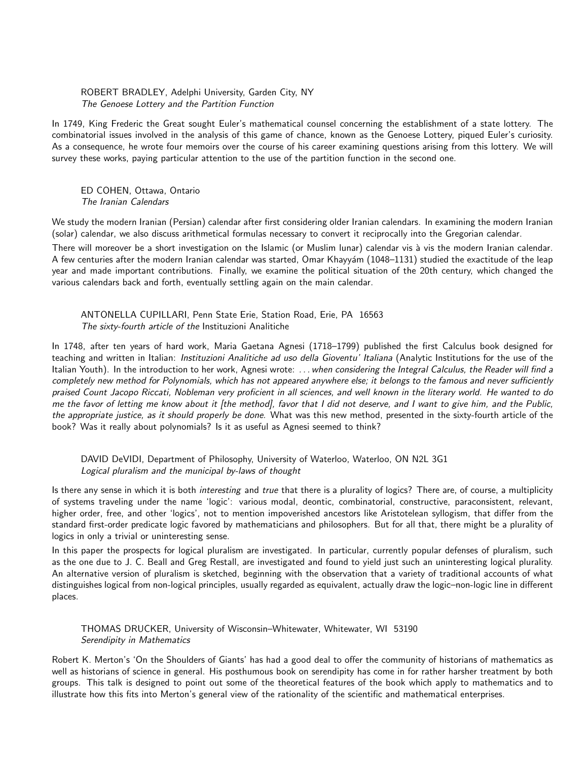### ROBERT BRADLEY, Adelphi University, Garden City, NY The Genoese Lottery and the Partition Function

In 1749, King Frederic the Great sought Euler's mathematical counsel concerning the establishment of a state lottery. The combinatorial issues involved in the analysis of this game of chance, known as the Genoese Lottery, piqued Euler's curiosity. As a consequence, he wrote four memoirs over the course of his career examining questions arising from this lottery. We will survey these works, paying particular attention to the use of the partition function in the second one.

ED COHEN, Ottawa, Ontario The Iranian Calendars

We study the modern Iranian (Persian) calendar after first considering older Iranian calendars. In examining the modern Iranian (solar) calendar, we also discuss arithmetical formulas necessary to convert it reciprocally into the Gregorian calendar.

There will moreover be a short investigation on the Islamic (or Muslim lunar) calendar vis à vis the modern Iranian calendar. A few centuries after the modern Iranian calendar was started, Omar Khayyám (1048–1131) studied the exactitude of the leap year and made important contributions. Finally, we examine the political situation of the 20th century, which changed the various calendars back and forth, eventually settling again on the main calendar.

ANTONELLA CUPILLARI, Penn State Erie, Station Road, Erie, PA 16563 The sixty-fourth article of the Instituzioni Analitiche

In 1748, after ten years of hard work, Maria Gaetana Agnesi (1718–1799) published the first Calculus book designed for teaching and written in Italian: Instituzioni Analitiche ad uso della Gioventu' Italiana (Analytic Institutions for the use of the Italian Youth). In the introduction to her work, Agnesi wrote: ... when considering the Integral Calculus, the Reader will find a completely new method for Polynomials, which has not appeared anywhere else; it belongs to the famous and never sufficiently praised Count Jacopo Riccati, Nobleman very proficient in all sciences, and well known in the literary world. He wanted to do me the favor of letting me know about it [the method], favor that I did not deserve, and I want to give him, and the Public, the appropriate justice, as it should properly be done. What was this new method, presented in the sixty-fourth article of the book? Was it really about polynomials? Is it as useful as Agnesi seemed to think?

DAVID DeVIDI, Department of Philosophy, University of Waterloo, Waterloo, ON N2L 3G1 Logical pluralism and the municipal by-laws of thought

Is there any sense in which it is both *interesting* and true that there is a plurality of logics? There are, of course, a multiplicity of systems traveling under the name 'logic': various modal, deontic, combinatorial, constructive, paraconsistent, relevant, higher order, free, and other 'logics', not to mention impoverished ancestors like Aristotelean syllogism, that differ from the standard first-order predicate logic favored by mathematicians and philosophers. But for all that, there might be a plurality of logics in only a trivial or uninteresting sense.

In this paper the prospects for logical pluralism are investigated. In particular, currently popular defenses of pluralism, such as the one due to J. C. Beall and Greg Restall, are investigated and found to yield just such an uninteresting logical plurality. An alternative version of pluralism is sketched, beginning with the observation that a variety of traditional accounts of what distinguishes logical from non-logical principles, usually regarded as equivalent, actually draw the logic–non-logic line in different places.

THOMAS DRUCKER, University of Wisconsin–Whitewater, Whitewater, WI 53190 Serendipity in Mathematics

Robert K. Merton's 'On the Shoulders of Giants' has had a good deal to offer the community of historians of mathematics as well as historians of science in general. His posthumous book on serendipity has come in for rather harsher treatment by both groups. This talk is designed to point out some of the theoretical features of the book which apply to mathematics and to illustrate how this fits into Merton's general view of the rationality of the scientific and mathematical enterprises.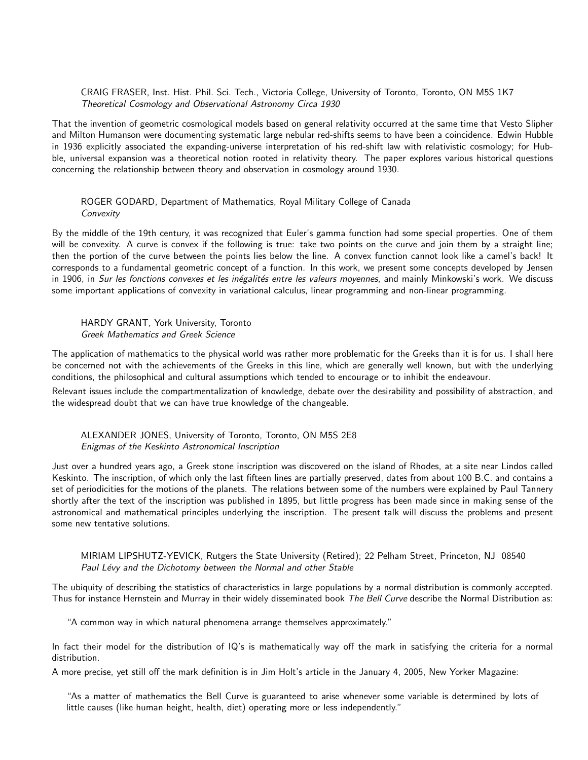CRAIG FRASER, Inst. Hist. Phil. Sci. Tech., Victoria College, University of Toronto, Toronto, ON M5S 1K7 Theoretical Cosmology and Observational Astronomy Circa 1930

That the invention of geometric cosmological models based on general relativity occurred at the same time that Vesto Slipher and Milton Humanson were documenting systematic large nebular red-shifts seems to have been a coincidence. Edwin Hubble in 1936 explicitly associated the expanding-universe interpretation of his red-shift law with relativistic cosmology; for Hubble, universal expansion was a theoretical notion rooted in relativity theory. The paper explores various historical questions concerning the relationship between theory and observation in cosmology around 1930.

#### ROGER GODARD, Department of Mathematics, Royal Military College of Canada **Convexity**

By the middle of the 19th century, it was recognized that Euler's gamma function had some special properties. One of them will be convexity. A curve is convex if the following is true: take two points on the curve and join them by a straight line; then the portion of the curve between the points lies below the line. A convex function cannot look like a camel's back! It corresponds to a fundamental geometric concept of a function. In this work, we present some concepts developed by Jensen in 1906, in Sur les fonctions convexes et les inégalités entre les valeurs moyennes, and mainly Minkowski's work. We discuss some important applications of convexity in variational calculus, linear programming and non-linear programming.

HARDY GRANT, York University, Toronto Greek Mathematics and Greek Science

The application of mathematics to the physical world was rather more problematic for the Greeks than it is for us. I shall here be concerned not with the achievements of the Greeks in this line, which are generally well known, but with the underlying conditions, the philosophical and cultural assumptions which tended to encourage or to inhibit the endeavour.

Relevant issues include the compartmentalization of knowledge, debate over the desirability and possibility of abstraction, and the widespread doubt that we can have true knowledge of the changeable.

#### ALEXANDER JONES, University of Toronto, Toronto, ON M5S 2E8 Enigmas of the Keskinto Astronomical Inscription

Just over a hundred years ago, a Greek stone inscription was discovered on the island of Rhodes, at a site near Lindos called Keskinto. The inscription, of which only the last fifteen lines are partially preserved, dates from about 100 B.C. and contains a set of periodicities for the motions of the planets. The relations between some of the numbers were explained by Paul Tannery shortly after the text of the inscription was published in 1895, but little progress has been made since in making sense of the astronomical and mathematical principles underlying the inscription. The present talk will discuss the problems and present some new tentative solutions.

MIRIAM LIPSHUTZ-YEVICK, Rutgers the State University (Retired); 22 Pelham Street, Princeton, NJ 08540 Paul Lévy and the Dichotomy between the Normal and other Stable

The ubiquity of describing the statistics of characteristics in large populations by a normal distribution is commonly accepted. Thus for instance Hernstein and Murray in their widely disseminated book The Bell Curve describe the Normal Distribution as:

"A common way in which natural phenomena arrange themselves approximately."

In fact their model for the distribution of IQ's is mathematically way off the mark in satisfying the criteria for a normal distribution.

A more precise, yet still off the mark definition is in Jim Holt's article in the January 4, 2005, New Yorker Magazine:

"As a matter of mathematics the Bell Curve is guaranteed to arise whenever some variable is determined by lots of little causes (like human height, health, diet) operating more or less independently."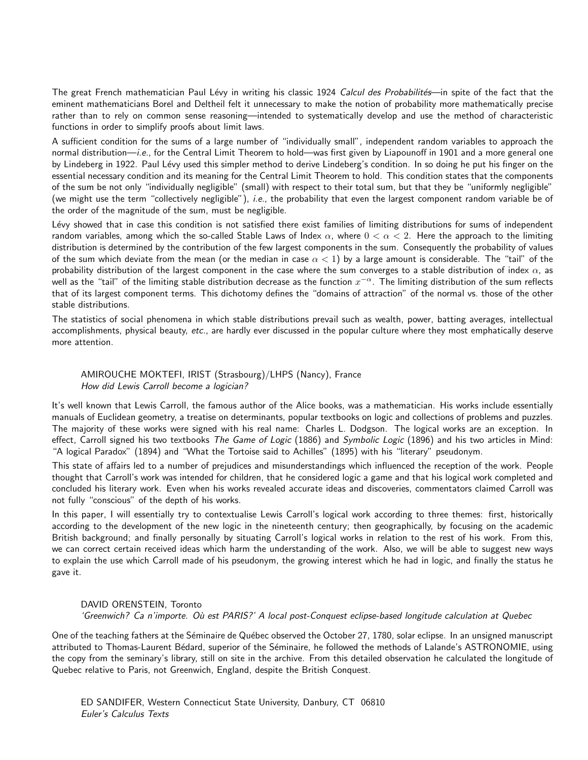The great French mathematician Paul Lévy in writing his classic 1924 Calcul des Probabilités—in spite of the fact that the eminent mathematicians Borel and Deltheil felt it unnecessary to make the notion of probability more mathematically precise rather than to rely on common sense reasoning—intended to systematically develop and use the method of characteristic functions in order to simplify proofs about limit laws.

A sufficient condition for the sums of a large number of "individually small", independent random variables to approach the normal distribution—i.e., for the Central Limit Theorem to hold—was first given by Liapounoff in 1901 and a more general one by Lindeberg in 1922. Paul Lévy used this simpler method to derive Lindeberg's condition. In so doing he put his finger on the essential necessary condition and its meaning for the Central Limit Theorem to hold. This condition states that the components of the sum be not only "individually negligible" (small) with respect to their total sum, but that they be "uniformly negligible" (we might use the term "collectively negligible"), i.e., the probability that even the largest component random variable be of the order of the magnitude of the sum, must be negligible.

Lévy showed that in case this condition is not satisfied there exist families of limiting distributions for sums of independent random variables, among which the so-called Stable Laws of Index  $\alpha$ , where  $0 < \alpha < 2$ . Here the approach to the limiting distribution is determined by the contribution of the few largest components in the sum. Consequently the probability of values of the sum which deviate from the mean (or the median in case  $\alpha < 1$ ) by a large amount is considerable. The "tail" of the probability distribution of the largest component in the case where the sum converges to a stable distribution of index  $\alpha$ , as well as the "tail" of the limiting stable distribution decrease as the function  $x^{-\alpha}$ . The limiting distribution of the sum reflects that of its largest component terms. This dichotomy defines the "domains of attraction" of the normal vs. those of the other stable distributions.

The statistics of social phenomena in which stable distributions prevail such as wealth, power, batting averages, intellectual accomplishments, physical beauty, etc., are hardly ever discussed in the popular culture where they most emphatically deserve more attention.

AMIROUCHE MOKTEFI, IRIST (Strasbourg)/LHPS (Nancy), France How did Lewis Carroll become a logician?

It's well known that Lewis Carroll, the famous author of the Alice books, was a mathematician. His works include essentially manuals of Euclidean geometry, a treatise on determinants, popular textbooks on logic and collections of problems and puzzles. The majority of these works were signed with his real name: Charles L. Dodgson. The logical works are an exception. In effect, Carroll signed his two textbooks The Game of Logic (1886) and Symbolic Logic (1896) and his two articles in Mind: "A logical Paradox" (1894) and "What the Tortoise said to Achilles" (1895) with his "literary" pseudonym.

This state of affairs led to a number of prejudices and misunderstandings which influenced the reception of the work. People thought that Carroll's work was intended for children, that he considered logic a game and that his logical work completed and concluded his literary work. Even when his works revealed accurate ideas and discoveries, commentators claimed Carroll was not fully "conscious" of the depth of his works.

In this paper, I will essentially try to contextualise Lewis Carroll's logical work according to three themes: first, historically according to the development of the new logic in the nineteenth century; then geographically, by focusing on the academic British background; and finally personally by situating Carroll's logical works in relation to the rest of his work. From this, we can correct certain received ideas which harm the understanding of the work. Also, we will be able to suggest new ways to explain the use which Carroll made of his pseudonym, the growing interest which he had in logic, and finally the status he gave it.

DAVID ORENSTEIN, Toronto 'Greenwich? Ca n'importe. Où est PARIS?' A local post-Conquest eclipse-based longitude calculation at Quebec

One of the teaching fathers at the Séminaire de Québec observed the October 27, 1780, solar eclipse. In an unsigned manuscript attributed to Thomas-Laurent Bédard, superior of the Séminaire, he followed the methods of Lalande's ASTRONOMIE, using the copy from the seminary's library, still on site in the archive. From this detailed observation he calculated the longitude of Quebec relative to Paris, not Greenwich, England, despite the British Conquest.

ED SANDIFER, Western Connecticut State University, Danbury, CT 06810 Euler's Calculus Texts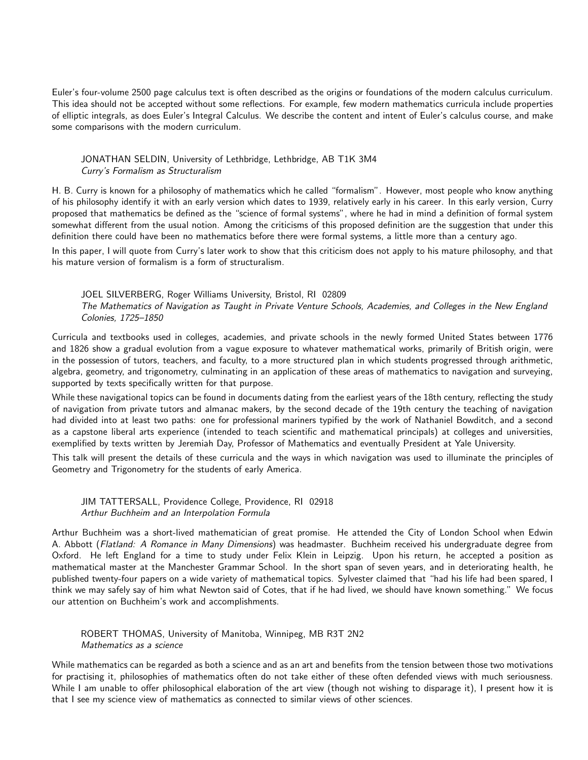Euler's four-volume 2500 page calculus text is often described as the origins or foundations of the modern calculus curriculum. This idea should not be accepted without some reflections. For example, few modern mathematics curricula include properties of elliptic integrals, as does Euler's Integral Calculus. We describe the content and intent of Euler's calculus course, and make some comparisons with the modern curriculum.

JONATHAN SELDIN, University of Lethbridge, Lethbridge, AB T1K 3M4 Curry's Formalism as Structuralism

H. B. Curry is known for a philosophy of mathematics which he called "formalism". However, most people who know anything of his philosophy identify it with an early version which dates to 1939, relatively early in his career. In this early version, Curry proposed that mathematics be defined as the "science of formal systems", where he had in mind a definition of formal system somewhat different from the usual notion. Among the criticisms of this proposed definition are the suggestion that under this definition there could have been no mathematics before there were formal systems, a little more than a century ago.

In this paper, I will quote from Curry's later work to show that this criticism does not apply to his mature philosophy, and that his mature version of formalism is a form of structuralism.

JOEL SILVERBERG, Roger Williams University, Bristol, RI 02809 The Mathematics of Navigation as Taught in Private Venture Schools, Academies, and Colleges in the New England Colonies, 1725–1850

Curricula and textbooks used in colleges, academies, and private schools in the newly formed United States between 1776 and 1826 show a gradual evolution from a vague exposure to whatever mathematical works, primarily of British origin, were in the possession of tutors, teachers, and faculty, to a more structured plan in which students progressed through arithmetic, algebra, geometry, and trigonometry, culminating in an application of these areas of mathematics to navigation and surveying, supported by texts specifically written for that purpose.

While these navigational topics can be found in documents dating from the earliest years of the 18th century, reflecting the study of navigation from private tutors and almanac makers, by the second decade of the 19th century the teaching of navigation had divided into at least two paths: one for professional mariners typified by the work of Nathaniel Bowditch, and a second as a capstone liberal arts experience (intended to teach scientific and mathematical principals) at colleges and universities, exemplified by texts written by Jeremiah Day, Professor of Mathematics and eventually President at Yale University.

This talk will present the details of these curricula and the ways in which navigation was used to illuminate the principles of Geometry and Trigonometry for the students of early America.

JIM TATTERSALL, Providence College, Providence, RI 02918 Arthur Buchheim and an Interpolation Formula

Arthur Buchheim was a short-lived mathematician of great promise. He attended the City of London School when Edwin A. Abbott (Flatland: A Romance in Many Dimensions) was headmaster. Buchheim received his undergraduate degree from Oxford. He left England for a time to study under Felix Klein in Leipzig. Upon his return, he accepted a position as mathematical master at the Manchester Grammar School. In the short span of seven years, and in deteriorating health, he published twenty-four papers on a wide variety of mathematical topics. Sylvester claimed that "had his life had been spared, I think we may safely say of him what Newton said of Cotes, that if he had lived, we should have known something." We focus our attention on Buchheim's work and accomplishments.

# ROBERT THOMAS, University of Manitoba, Winnipeg, MB R3T 2N2 Mathematics as a science

While mathematics can be regarded as both a science and as an art and benefits from the tension between those two motivations for practising it, philosophies of mathematics often do not take either of these often defended views with much seriousness. While I am unable to offer philosophical elaboration of the art view (though not wishing to disparage it), I present how it is that I see my science view of mathematics as connected to similar views of other sciences.